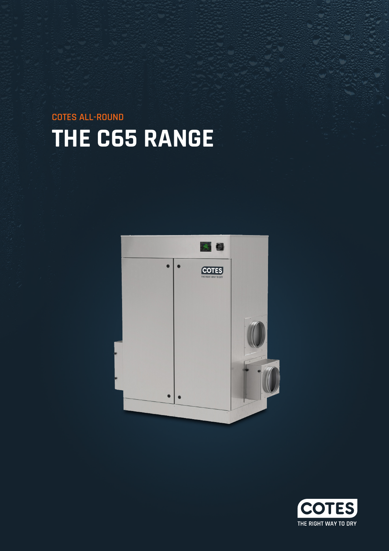**THE C65 RANGE COTES ALL-ROUND**



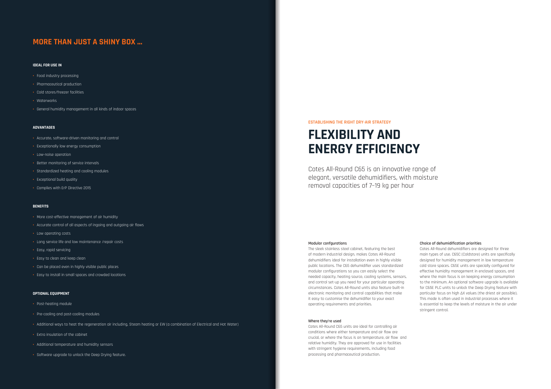#### **IDEAL FOR USE IN**

- **•** Food industry processing
- **•** Pharmaceutical production
- **•** Cold stores/freezer facilities
- **•** Waterworks
- **•** General humidity management in all kinds of indoor spaces

#### **ADVANTAGES**

- **•** Accurate, software-driven monitoring and control
- **•** Exceptionally low energy consumption
- **•** Low-noise operation
- **•** Better monitoring of service intervals
- **•** Standardized heating and cooling modules
- **•** Exceptional build quality
- **•** Complies with ErP Directive 2015

### **BENEFITS**

- **•** More cost-effective management of air humidity
- **•** Accurate control of all aspects of ingoing and outgoing air flows
- **•** Low operating costs
- **•** Long service life and low maintenance /repair costs
- **•** Easy, rapid servicing
- **•** Easy to clean and keep clean
- **•** Can be placed even in highly visible public places
- **•** Easy to install in small spaces and crowded locations

#### **OPTIONAL EQUIPMENT**

- **•** Post-heating module
- **•** Pre-cooling and post-cooling modules
- **•** Additional ways to heat the regeneration air including, Steam heating or EW (a combination of Electrical and Hot Water)
- **•** Extra insulation of the cabinet
- **•** Additional temperature and humidity sensors
- **•** Software upgrade to unlock the Deep Drying feature.

### **MORE THAN JUST A SHINY BOX ...**

#### **ESTABLISHING THE RIGHT DRY-AIR STRATEGY**

Cotes All-Round C65 is an innovative range of elegant, versatile dehumidifiers, with moisture removal capacities of 7–19 kg per hour

#### **Modular confgurations**

The sleek stainless steel cabinet, featuring the best of modern industrial design, makes Cotes All-Round dehumidifiers ideal for installation even in highly visible public locations. The C65 dehumidifier uses standardized modular configurations so you can easily select the needed capacity, heating source, cooling systems, sensors, and control set-up you need for your particular operating circumstances. Cotes All-Round units also feature built-in electronic monitoring and control capabilities that make it easy to customise the dehumidifier to your exact operating requirements and priorities.

### **Where they're used**

Cotes All-Round C65 units are ideal for controlling air conditions where either temperature and air flow are crucial, or where the focus is on temperature, air flow and relative humidity. They are approved for use in facilities with stringent hygiene requirements, including food processing and pharmaceutical production.



# **FLEXIBILITY AND ENERGY EFFICIENCY**

#### **Choice of dehumidification priorities**

Cotes All-Round dehumidifiers are designed for three main types of use. C65C (Coldstore) units are specifically designed for humidity management in low temperature cold store spaces. C65E units are specially configured for effective humidity management in enclosed spaces, and where the main focus is on keeping energy consumption to the minimum. An optional software upgrade is available for C65E PLC units to unlock the Deep Drying feature with particular focus on high ΔX values (the driest air possible). This mode is often used in industrial processes where it is essential to keep the levels of moisture in the air under stringent control.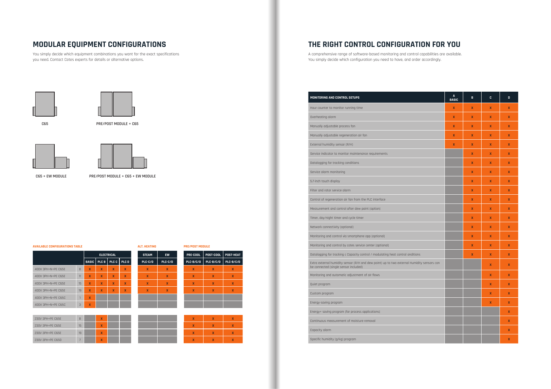**C65 PRE/POST MODULE + C65**





**C65 + EW MODULE PRE/POST MODULE + C65 + EW MODULE**

| MONITORING AND CONTROL SETUPS                                                                                                       | A<br><b>BASIC</b> | B                | c            | D                |
|-------------------------------------------------------------------------------------------------------------------------------------|-------------------|------------------|--------------|------------------|
| Hour counter to monitor running time                                                                                                | X                 | $\boldsymbol{X}$ | X            | X                |
| Overheating alarm                                                                                                                   | X                 | X                | X            | X                |
| Manually adjustable process fan                                                                                                     | X                 | $\mathbf x$      | X            | X                |
| Manually adjustable regeneration air fan                                                                                            | $\mathbf{x}$      | $\mathbf{x}$     | X            | X                |
| External humidity sensor (R/H)                                                                                                      | X                 | $\mathbf{x}$     | X            | X                |
| Service indicator to monitor maintenance requirements                                                                               |                   | $\boldsymbol{x}$ | X            | X                |
| Datalogging for tracking conditions                                                                                                 |                   | $\mathbf x$      | X            | X                |
| Service alarm monitoring                                                                                                            |                   | $\boldsymbol{x}$ | X            | X                |
| 5.7-inch touch display                                                                                                              |                   | $\mathbf{x}$     | $\mathbf{x}$ | X                |
| Filter and rotor service alarm                                                                                                      |                   | $\mathbf x$      | X            | X                |
| Control of regeneration air fan from the PLC interface                                                                              |                   | $\mathbf x$      | X            | X                |
| Measurement and control after dew point (option)                                                                                    |                   | $\mathbf{x}$     | $\mathbf{x}$ | X                |
| Timer, day/night timer and cycle timer                                                                                              |                   | $\mathbf{x}$     | X            | X                |
| Network connectivity (optional)                                                                                                     |                   | $\mathbf x$      | X            | X                |
| Monitoring and control via smartphone app (optional)                                                                                |                   | $\mathbf x$      | X            | X                |
| Monitoring and control by cotes service center (optional)                                                                           |                   | $\mathbf{x}$     | X            | X                |
| Datalogging for tracking c Capacity control / modulating heat control onditions                                                     |                   | $\mathbf x$      | X            | X                |
| Extra external humidity sensor (R/H and dew point) up to two external Humidity sensors can<br>be connected (single sensor included) |                   |                  | X            | X                |
| Monitoring and automatic adjustment of air flows                                                                                    |                   |                  | X            | X                |
| Quiet program                                                                                                                       |                   |                  | X            | X                |
| Custom program                                                                                                                      |                   |                  | X            | X                |
| Energy-saving program                                                                                                               |                   |                  | X            | $\boldsymbol{X}$ |
| Energy+ saving program (for process applications)                                                                                   |                   |                  |              | X                |
| Continuous measurement of moisture removal                                                                                          |                   |                  |              | X                |
| Capacity alarm                                                                                                                      |                   |                  |              | $\mathbf x$      |
| Specific humidity (g/kg) program                                                                                                    |                   |                  |              | X                |

| <b>STEAM</b> | <b>EW</b>               | PRE-COOL                | POST-COOL               | <b>POST-HEAT</b> |
|--------------|-------------------------|-------------------------|-------------------------|------------------|
| PLC-C/D      | PLC-C/D                 | PLC-B/C/D               | PLC-B/C/D               | PLC-B/C/D        |
| X            | X                       | $\overline{\mathbf{x}}$ | $\overline{\mathbf{x}}$ | X                |
| $\mathbf x$  | X                       | $\mathbf x$             | X                       | X                |
| $\mathbf x$  | $\overline{\mathbf{x}}$ | $\overline{\mathbf{x}}$ | X                       | X                |
| $\mathbf x$  | X                       | $\mathbf x$             | X                       | X                |
|              |                         |                         |                         |                  |
|              |                         |                         |                         |                  |

| $\mathbf{x}$            | $\mathbf{x}$   | Y.<br>۰.                |
|-------------------------|----------------|-------------------------|
| $\overline{\mathbf{X}}$ | $\overline{X}$ | $\overline{\mathbf{r}}$ |
| X.                      | <b>X</b>       | л                       |
|                         | <b>X</b>       |                         |

|                    |               |   |             | <b>ELECTRICAL</b> |                               | <b>STEAM</b> | <b>EW</b> | <b>PRE-COOL</b> | <b>POST-COOL</b> | POST- |
|--------------------|---------------|---|-------------|-------------------|-------------------------------|--------------|-----------|-----------------|------------------|-------|
|                    |               |   |             |                   | BASIC   PLC B   PLC C   PLC D | PLC-C/D      | PLC-C/D   | PLC-B/C/D       | PLC-B/C/D        | PLC-B |
| 400V 3PH+N+PE C65E | 8             | X | X           | X                 | X                             | X            | X         | X               | X                | X     |
| 400V 3PH+N+PE C65E | 11            | X | $\mathbf x$ | X                 | X                             | X            | X         | X               | X                | X     |
| 400V 3PH+N+PE C65E | 15            | X | X           | X                 | $\mathbf x$                   | X            | X         | X               | X                | X     |
| 400V 3PH+N+PF C65F | 19            | X | $\mathbf x$ | X                 | $\mathbf x$                   | X            | X         | X               | $\mathbf x$      | X     |
| 400V 3PH+N+PE C65C |               | X |             |                   |                               |              |           |                 |                  |       |
| 400V 3PH+N+PF C65C | $\mathcal{B}$ | X |             |                   |                               |              |           |                 |                  |       |

| 230V 3PH+PE C65E | 8  | $\overline{u}$<br>⋀      |  |  | X                            |   |
|------------------|----|--------------------------|--|--|------------------------------|---|
| 230V 3PH+PE C65E | 15 | $\overline{u}$           |  |  | $\overline{\mathbf{x}}$      | 灬 |
| 230V 3PH+PE C65E | 19 | $\overline{u}$<br>^      |  |  | X                            |   |
| 230V 3PH+PE C65D |    | $\overline{\phantom{a}}$ |  |  | $\overline{\mathbf{V}}$<br>^ | 灬 |

#### **AVAILABLE CONFIGURATIONS TABLE ALT. HEATING PRE/POST MODULE**

You simply decide which equipment combinations you want for the exact specifications you need. Contact Cotes experts for details or alternative options.





A comprehensive range of software-based monitoring and control capabilities are available. You simply decide which configuration you need to have, and order accordingly.

## **MODULAR EQUIPMENT CONFIGURATIONS THE RIGHT CONTROL CONFIGURATION FOR YOU**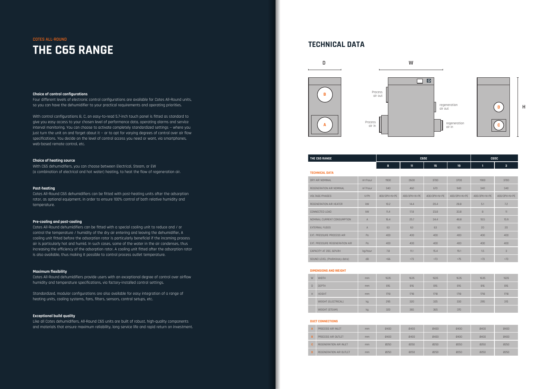#### **Choice of control configurations**

Four different levels of electronic control configurations are available for Cotes All-Round units, so you can have the dehumidifier to your practical requirements and operating priorities.

With control configurations B, C, an easy-to-read 5.7-inch touch panel is fitted as standard to give you easy access to your chosen level of performance data, operating alarms and service interval monitoring. You can choose to activate completely standardized settings — where you just turn the unit on and forget about it  $-$  or to opt for varying degrees of control over air flow specifications. You decide on the level of control access you need or want, via smartphones, web-based remote control, etc.

### **Choice of heating source**

With C65 dehumidifiers, you can choose between Electrical, Steam, or EW (a combination of electrical and hot water) heating, to heat the flow of regeneration air.

#### **Post-heating**

Cotes All-Round C65 dehumidifiers can be fitted with post-heating units after the adsorption rotor, as optional equipment, in order to ensure 100% control of both relative humidity and temperature.

#### **Pre-cooling and post-cooling**

regeneration air in

Cotes All-Round dehumidifiers can be fitted with a special cooling unit to reduce and / or control the temperature / humidity of the dry air entering and leaving the dehumidifier, A cooling unit fitted before the adsorption rotor is particularly beneficial if the incoming process air is particularly hot and humid. In such cases, some of the water in the air condenses, thus increasing the efficiency of the adsorption rotor. A cooling unit fitted after the adsorption rotor is also available, thus making it possible to control process outlet temperature.

#### **Maximum flexibility**

Cotes All-Round dehumidifiers provide users with an exceptional degree of control over airflow humidity and temperature specifications, via factory-installed control settings.

Standardized, modular configurations are also available for easy integration of a range of heating units, cooling systems, fans, filters, sensors, control setups, etc.

#### **Exceptional build quality**

Like all Cotes dehumidifiers, All-Round C65 units are built of robust, high-quality components and materials that ensure maximum reliability, long service life and rapid return on investment.

## **COTES ALL-ROUND THE C65 RANGE**







air out

**H**

### **TECHNICAL DATA**

| THE C65 RANGE |                |       | <b>C65E</b> |    | C65C |  |  |
|---------------|----------------|-------|-------------|----|------|--|--|
|               | $\bullet$<br>o | <br>ш | 15          | 19 |      |  |  |

#### **TECHNICAL DATA**

| $\mathcal{L}(\mathcal{L})$ and $\mathcal{L}(\mathcal{L})$ and $\mathcal{L}(\mathcal{L})$ |  |
|------------------------------------------------------------------------------------------|--|
|                                                                                          |  |
|                                                                                          |  |
|                                                                                          |  |
|                                                                                          |  |
|                                                                                          |  |

| DRY AIR NOMINAL                | $m^3/h$ our  | 1900         | 2600         | 3700         | 3700         | 1900         | 3700         |
|--------------------------------|--------------|--------------|--------------|--------------|--------------|--------------|--------------|
| REGENERATION AIR NOMINAL       | $m^3/h$ our  | 340          | 460          | 670          | 940          | 340          | 340          |
| <b>VOLTAGE/PHASES</b>          | V/Ph         | 400/3PH+N+PE | 400/3PH+N+PE | 400/3PH+N+PE | 400/3PH+N+PE | 400/3PH+N+PE | 400/3PH+N+PE |
| REGENERATION AIR HEATER        | kW           | 10.2         | 14.4         | 20.4         | 28.8         | 5.1          | 7.2          |
| CONNECTED LOAD                 | kW           | 11.4         | 17.8         | 23.8         | 33.8         | 8            | 11           |
| NOMINAL CURRENT CONSUMPTION    | $\mathsf{A}$ | 16.4         | 25.7         | 34.4         | 48.8         | 10.5         | 15.9         |
| <b>EXTERNAL FUSES</b>          | $\mathsf{A}$ | 63           | 63           | 63           | 63           | 20           | 20           |
| EXT. PRESSURE PROCESS AIR      | Po           | 400          | 400          | 400          | 400          | 400          | 400          |
| EXT. PRESSURE REGENERATION AIR | Po           | 400          | 400          | 400          | 400          | 400          | 400          |
| CAPACITY AT 20C, 60%RH         | kg/hour      | 7.8          | 11.1         | 15.4         | 19.1         | 1.5          | 3            |
| SOUND LEVEL (Preliminary data) | dB           | 565          | <73          | <73          | <75          | <73          | <73          |

#### **DIMENSIONS AND WEIGHT**

| W      | <b>WIDTH</b>        | mm | 1635 | 1635 | 1635 | 1635 | 1635 | 1635 |
|--------|---------------------|----|------|------|------|------|------|------|
| $\Box$ | <b>DEPTH</b>        | mm | 816  | 816  | 816  | 816  | 816  | 816  |
| H      | <b>HEIGHT</b>       | mm | 1718 | 1718 | 1718 | 1718 | 1718 | 1718 |
|        | WEIGHT (ELECTRICAL) | kq | 295  | 320  | 325  | 330  | 295  | 315  |
|        | WEIGHT (STEAM)      | kg | 320  | 365  | 365  | 370  |      |      |

#### **DUCT CONNECTIONS**

| A  | PROCESS AIR INLET       | mm | $\n  7400\n$ | $\n  7400\n$ | $\n  7400\n$ | $\n  7400\n$ | $\n  7400\n$ | 0400        |
|----|-------------------------|----|--------------|--------------|--------------|--------------|--------------|-------------|
| B. | PROCESS AIR OUTLET      | mm | $\n  7400\n$ | $\n  7400\n$ | $\n  7400\n$ | $\n  7400\n$ | 0400         | 0400        |
| c. | REGENERATION AIR INLET  | mm | 0250         | <b>Ø250</b>  | 0250         | <b>Ø250</b>  | <b>Ø250</b>  | <b>Ø250</b> |
| D. | REGENERATION AIR OUTLET | mm | 0250         | <b>Ø250</b>  | 0250         | 0250         | <b>Ø250</b>  | <b>Ø250</b> |